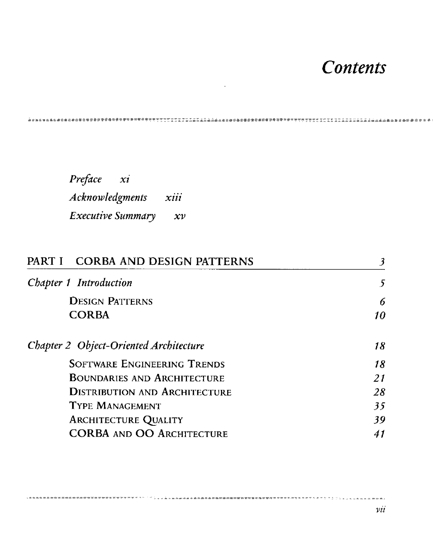## *Contents*

 $\sim 10$ 

*Preface xi Acknowledgments xiii Executive Summdry xv* 

| PART I CORBA AND DESIGN PATTERNS       |    |
|----------------------------------------|----|
| Chapter 1 Introduction                 | -5 |
| <b>DESIGN PATTERNS</b>                 | 6  |
| <b>CORBA</b>                           | 10 |
| Chapter 2 Object-Oriented Architecture | 18 |
| <b>SOFTWARE ENGINEERING TRENDS</b>     | 18 |
| <b>BOUNDARIES AND ARCHITECTURE</b>     | 21 |
| <b>DISTRIBUTION AND ARCHITECTURE</b>   | 28 |
| <b>TYPE MANAGEMENT</b>                 | 35 |
| <b>ARCHITECTURE QUALITY</b>            | 39 |
| <b>CORBA AND OO ARCHITECTURE</b>       |    |

、「いくえおさまをきまるおお話題が自由を自由の理論を確認を確認を確認を確認を言う意をさせることです。」。いいいいいとともあれない。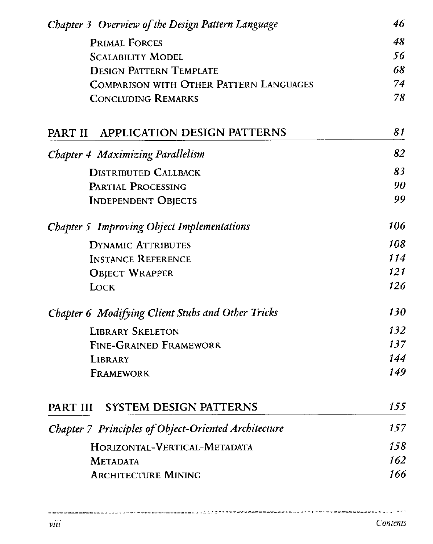| Chapter 3 Overview of the Design Pattern Language                                | 46       |
|----------------------------------------------------------------------------------|----------|
| <b>PRIMAL FORCES</b>                                                             | 48       |
| <b>SCALABILITY MODEL</b>                                                         | 56       |
| <b>DESIGN PATTERN TEMPLATE</b><br><b>COMPARISON WITH OTHER PATTERN LANGUAGES</b> | 68<br>74 |
|                                                                                  |          |
| <b>APPLICATION DESIGN PATTERNS</b><br>PART II                                    | 81       |
| <b>Chapter 4 Maximizing Parallelism</b>                                          | 82       |
| <b>DISTRIBUTED CALLBACK</b>                                                      | 83       |
| PARTIAL PROCESSING                                                               | 90       |
| <b>INDEPENDENT OBJECTS</b>                                                       | 99       |
| Chapter 5 Improving Object Implementations                                       | 106      |
| <b>DYNAMIC ATTRIBUTES</b>                                                        | 108      |
| <b>INSTANCE REFERENCE</b>                                                        | 114      |
| <b>OBJECT WRAPPER</b>                                                            | 121      |
| LOCK                                                                             | 126      |
| Chapter 6 Modifying Client Stubs and Other Tricks                                | 130      |
| <b>LIBRARY SKELETON</b>                                                          | 132      |
| <b>FINE-GRAINED FRAMEWORK</b>                                                    | 137      |
| <b>LIBRARY</b>                                                                   | 144      |
| <b>FRAMEWORK</b>                                                                 | 149      |
| SYSTEM DESIGN PATTERNS<br>PART III                                               | 155      |
| Chapter 7 Principles of Object-Oriented Architecture                             | 157      |
| HORIZONTAL-VERTICAL-METADATA                                                     | 158      |
| <b>METADATA</b>                                                                  | 162      |
| <b>ARCHITECTURE MINING</b>                                                       | 166      |

 $\sim$ 

 $\mathcal{F}(\mathcal{F}) \subset \mathcal{F}^{(n)} \cong \mathcal{F}^{(n)} \cong \mathcal{F}^{(n)} \oplus \mathcal{F}^{(n)} \oplus \mathcal{F}^{(n)} \oplus \mathcal{F}^{(n)} \oplus \mathcal{F}^{(n)} \oplus \mathcal{F}^{(n)} \oplus \mathcal{F}^{(n)} \oplus \mathcal{F}^{(n)} \oplus \mathcal{F}^{(n)} \oplus \mathcal{F}^{(n)} \oplus \mathcal{F}^{(n)} \oplus \mathcal{F}^{(n)} \oplus \mathcal{F}^{(n)} \oplus \mathcal{F}^{(n)} \$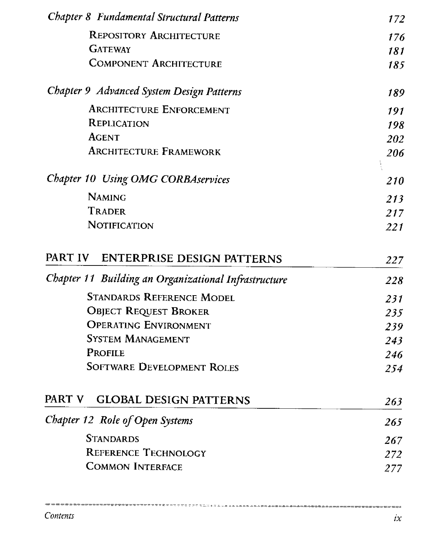| Chapter 8 Fundamental Structural Patterns            | 172 |
|------------------------------------------------------|-----|
| <b>REPOSITORY ARCHITECTURE</b>                       | 176 |
| <b>GATEWAY</b>                                       | 181 |
| <b>COMPONENT ARCHITECTURE</b>                        | 185 |
| Chapter 9 Advanced System Design Patterns            | 189 |
| <b>ARCHITECTURE ENFORCEMENT</b>                      | 191 |
| <b>REPLICATION</b>                                   | 198 |
| <b>AGENT</b>                                         | 202 |
| <b>ARCHITECTURE FRAMEWORK</b>                        | 206 |
| Chapter 10 Using OMG CORBAservices                   | 210 |
| <b>NAMING</b>                                        | 213 |
| <b>TRADER</b>                                        | 217 |
| NOTIFICATION                                         | 221 |
| PART IV ENTERPRISE DESIGN PATTERNS                   | 227 |
| Chapter 11 Building an Organizational Infrastructure | 228 |
| <b>STANDARDS REFERENCE MODEL</b>                     | 231 |
| <b>OBJECT REQUEST BROKER</b>                         | 235 |
| <b>OPERATING ENVIRONMENT</b>                         | 239 |
|                                                      | 243 |
| <b>SYSTEM MANAGEMENT</b>                             |     |
| <b>PROFILE</b>                                       | 246 |
| <b>SOFTWARE DEVELOPMENT ROLES</b>                    | 254 |
| PART V<br><b>GLOBAL DESIGN PATTERNS</b>              | 263 |
| Chapter 12 Role of Open Systems                      | 265 |
| <b>STANDARDS</b>                                     | 267 |
| <b>REFERENCE TECHNOLOGY</b>                          | 272 |
| <b>COMMON INTERFACE</b>                              | 277 |

 $\rightarrow$   $\rightarrow$ 

x.

-<br>The concentration and concentration specially upper success and concentration and concentrations and concentrations